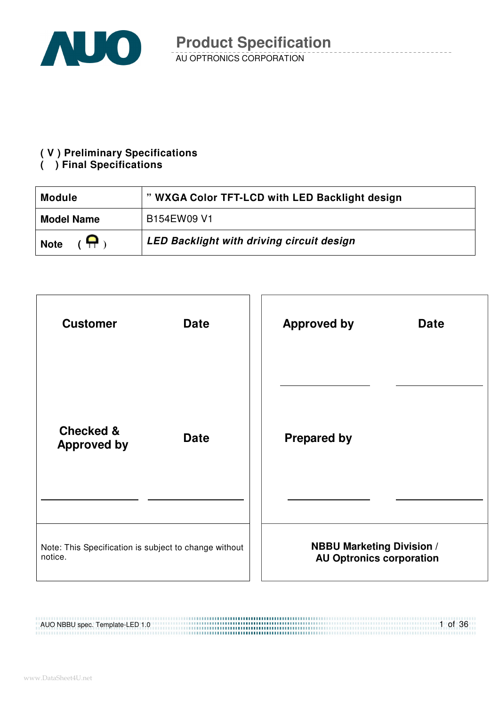

#### **( V ) Preliminary Specifications**

#### **( ) Final Specifications**

| " WXGA Color TFT-LCD with LED Backlight design<br><b>Module</b> |                                                  |  |
|-----------------------------------------------------------------|--------------------------------------------------|--|
| <b>Model Name</b>                                               | B154EW09 V1                                      |  |
| $\ddot{ }$<br><b>Note</b>                                       | <b>LED Backlight with driving circuit design</b> |  |



#### AUO NBBU spec. Template-LED 1.0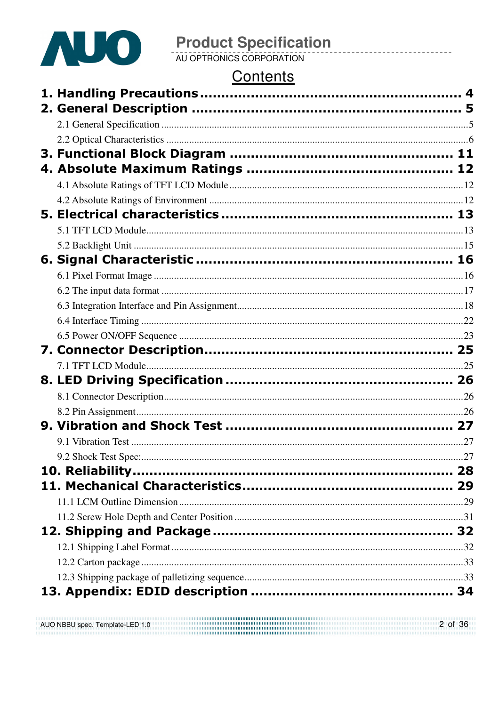

# **Product Specification**<br>AU OPTRONICS CORPORATION

### Contents

|  | 27 |
|--|----|
|  |    |
|  |    |
|  |    |
|  |    |
|  |    |
|  |    |
|  |    |
|  |    |
|  |    |
|  |    |

AUO NBBU spec. Template-LED 1.0 2 of 36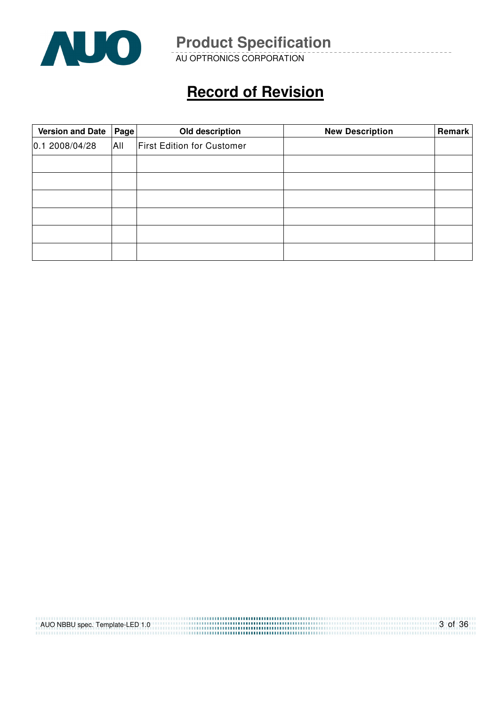

AU OPTRONICS CORPORATION

## **Record of Revision**

| Version and Date   Page |     | Old description                   | <b>New Description</b> | Remark |
|-------------------------|-----|-----------------------------------|------------------------|--------|
| 0.12008/04/28           | All | <b>First Edition for Customer</b> |                        |        |
|                         |     |                                   |                        |        |
|                         |     |                                   |                        |        |
|                         |     |                                   |                        |        |
|                         |     |                                   |                        |        |
|                         |     |                                   |                        |        |
|                         |     |                                   |                        |        |

| AUO NBBU spec. Template-LED 1.0 | 3 of 36 |
|---------------------------------|---------|
|                                 |         |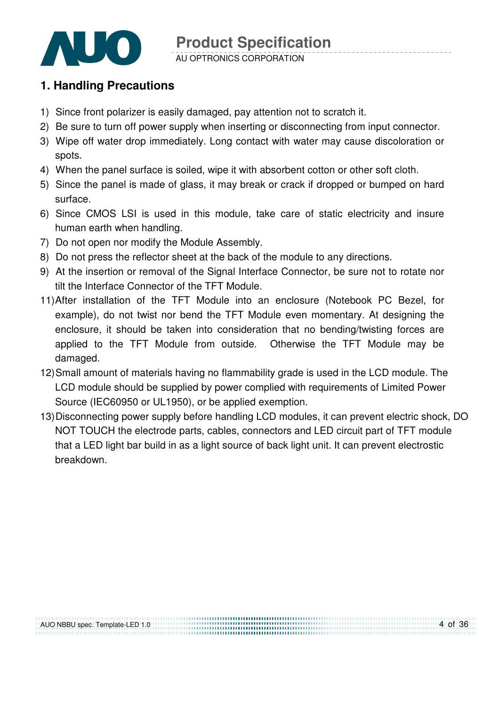

#### **1. Handling Precautions**

- 1) Since front polarizer is easily damaged, pay attention not to scratch it.
- 2) Be sure to turn off power supply when inserting or disconnecting from input connector.
- 3) Wipe off water drop immediately. Long contact with water may cause discoloration or spots.
- 4) When the panel surface is soiled, wipe it with absorbent cotton or other soft cloth.
- 5) Since the panel is made of glass, it may break or crack if dropped or bumped on hard surface.
- 6) Since CMOS LSI is used in this module, take care of static electricity and insure human earth when handling.
- 7) Do not open nor modify the Module Assembly.
- 8) Do not press the reflector sheet at the back of the module to any directions.
- 9) At the insertion or removal of the Signal Interface Connector, be sure not to rotate nor tilt the Interface Connector of the TFT Module.
- 11) After installation of the TFT Module into an enclosure (Notebook PC Bezel, for example), do not twist nor bend the TFT Module even momentary. At designing the enclosure, it should be taken into consideration that no bending/twisting forces are applied to the TFT Module from outside. Otherwise the TFT Module may be damaged.
- 12) Small amount of materials having no flammability grade is used in the LCD module. The LCD module should be supplied by power complied with requirements of Limited Power Source (IEC60950 or UL1950), or be applied exemption.
- 13) Disconnecting power supply before handling LCD modules, it can prevent electric shock, DO NOT TOUCH the electrode parts, cables, connectors and LED circuit part of TFT module that a LED light bar build in as a light source of back light unit. It can prevent electrostic breakdown.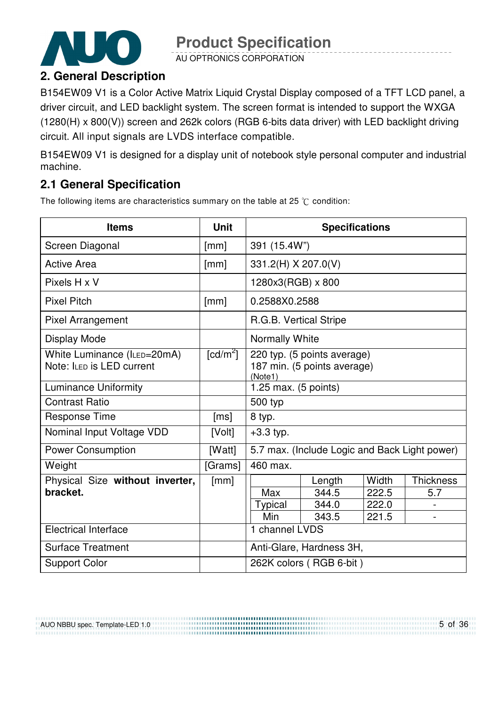

AU OPTRONICS CORPORATION

### **2. General Description**

B154EW09 V1 is a Color Active Matrix Liquid Crystal Display composed of a TFT LCD panel, a driver circuit, and LED backlight system. The screen format is intended to support the WXGA (1280(H) x 800(V)) screen and 262k colors (RGB 6-bits data driver) with LED backlight driving circuit. All input signals are LVDS interface compatible.

B154EW09 V1 is designed for a display unit of notebook style personal computer and industrial machine.

### **2.1 General Specification**

The following items are characteristics summary on the table at 25  $\degree$ C condition:

| <b>Items</b>                                             | <b>Unit</b>            | <b>Specifications</b>                                                 |        |       |                          |
|----------------------------------------------------------|------------------------|-----------------------------------------------------------------------|--------|-------|--------------------------|
| Screen Diagonal                                          | [mm]                   | 391 (15.4W")                                                          |        |       |                          |
| <b>Active Area</b>                                       | [mm]                   | 331.2(H) X 207.0(V)                                                   |        |       |                          |
| Pixels H x V                                             |                        | 1280x3(RGB) x 800                                                     |        |       |                          |
| <b>Pixel Pitch</b>                                       | [mm]                   | 0.2588X0.2588                                                         |        |       |                          |
| <b>Pixel Arrangement</b>                                 |                        | R.G.B. Vertical Stripe                                                |        |       |                          |
| <b>Display Mode</b>                                      |                        | Normally White                                                        |        |       |                          |
| White Luminance (ILED=20mA)<br>Note: ILED is LED current | $\lceil cd/m^2 \rceil$ | 220 typ. (5 points average)<br>187 min. (5 points average)<br>(Note1) |        |       |                          |
| <b>Luminance Uniformity</b>                              |                        | 1.25 max. (5 points)                                                  |        |       |                          |
| <b>Contrast Ratio</b>                                    |                        | 500 typ                                                               |        |       |                          |
| <b>Response Time</b>                                     | [ms]                   | 8 typ.                                                                |        |       |                          |
| Nominal Input Voltage VDD                                | [Volt]                 | $+3.3$ typ.                                                           |        |       |                          |
| <b>Power Consumption</b>                                 | [Watt]                 | 5.7 max. (Include Logic and Back Light power)                         |        |       |                          |
| Weight                                                   | [Grams]                | 460 max.                                                              |        |       |                          |
| Physical Size without inverter,                          | [mm]                   |                                                                       | Length | Width | <b>Thickness</b>         |
| bracket.                                                 |                        | Max                                                                   | 344.5  | 222.5 | 5.7                      |
|                                                          |                        | Typical                                                               | 344.0  | 222.0 | $\overline{\phantom{0}}$ |
|                                                          |                        | Min                                                                   | 343.5  | 221.5 |                          |
| <b>Electrical Interface</b>                              |                        | 1 channel LVDS                                                        |        |       |                          |
| <b>Surface Treatment</b>                                 |                        | Anti-Glare, Hardness 3H,                                              |        |       |                          |
| <b>Support Color</b>                                     |                        | 262K colors (RGB 6-bit)                                               |        |       |                          |

AUO NBBU spec. Template-LED 1.0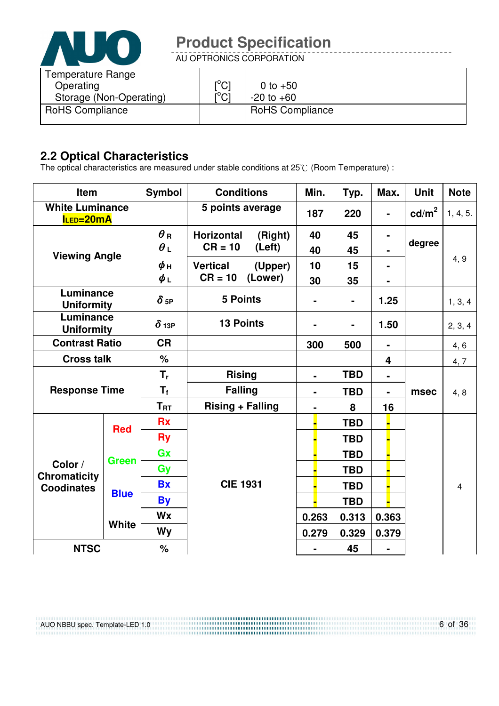

AU OPTRONICS CORPORATION

| Temperature Range<br>Operating<br>Storage (Non-Operating) | $\mathsf{I}^\circ\mathsf{C}$<br>$\mathsf{I}^\circ\mathsf{Cl}$ | 0 to $+50$<br>$-20$ to $+60$ |
|-----------------------------------------------------------|---------------------------------------------------------------|------------------------------|
| <b>RoHS Compliance</b>                                    |                                                               | <b>RoHS Compliance</b>       |

### **2.2 Optical Characteristics**

The optical characteristics are measured under stable conditions at 25 $\degree$  (Room Temperature) :

| Item                                |              | <b>Symbol</b> | <b>Conditions</b>                                                |  | Min.                         | Typ.       | Max.           | <b>Unit</b>     | <b>Note</b> |
|-------------------------------------|--------------|---------------|------------------------------------------------------------------|--|------------------------------|------------|----------------|-----------------|-------------|
| <b>White Luminance</b><br>ILED=20mA |              |               | 5 points average                                                 |  | 187                          | 220        |                | $\text{cd/m}^2$ | 1, 4, 5.    |
|                                     |              | $\theta$ R    | <b>Horizontal</b><br>(Right)                                     |  | 40                           | 45         |                |                 |             |
| <b>Viewing Angle</b>                |              | $\theta_L$    | $CR = 10$<br>(Left)                                              |  | 40                           | 45         |                | degree          |             |
|                                     |              | $\phi$ н      | <b>Vertical</b><br>(Upper)                                       |  | 10                           | 15         |                |                 | 4, 9        |
|                                     |              | $\phi_L$      | $CR = 10$<br>(Lower)                                             |  | 30                           | 35         |                |                 |             |
| Luminance<br><b>Uniformity</b>      |              | $\delta$ 5P   | <b>5 Points</b>                                                  |  |                              | ۰          | 1.25           |                 | 1, 3, 4     |
| Luminance<br><b>Uniformity</b>      |              | $\delta$ 13P  | <b>13 Points</b>                                                 |  | $\qquad \qquad \blacksquare$ |            | 1.50           |                 | 2, 3, 4     |
| <b>Contrast Ratio</b>               |              | <b>CR</b>     |                                                                  |  | 300                          | 500        | $\blacksquare$ |                 | 4,6         |
| <b>Cross talk</b>                   |              | $\%$          |                                                                  |  |                              |            | 4              |                 | 4, 7        |
|                                     |              | $T_{r}$       | <b>Rising</b>                                                    |  | $\blacksquare$               | <b>TBD</b> | $\blacksquare$ |                 |             |
| <b>Response Time</b>                |              | $T_{\rm f}$   | <b>Falling</b><br><b>TBD</b><br>$\blacksquare$<br>$\blacksquare$ |  | msec                         | 4, 8       |                |                 |             |
|                                     |              | $T_{\rm RT}$  | <b>Rising + Falling</b>                                          |  | $\blacksquare$               | 8          | 16             |                 |             |
|                                     | <b>Red</b>   | <b>Rx</b>     |                                                                  |  |                              | <b>TBD</b> |                |                 |             |
|                                     |              | <b>Ry</b>     |                                                                  |  |                              | <b>TBD</b> |                |                 |             |
|                                     | <b>Green</b> | Gx            |                                                                  |  |                              | <b>TBD</b> |                |                 |             |
| Color /<br><b>Chromaticity</b>      |              | Gy            |                                                                  |  |                              | <b>TBD</b> |                |                 |             |
| <b>Coodinates</b>                   |              | <b>Bx</b>     | <b>CIE 1931</b>                                                  |  |                              | <b>TBD</b> |                |                 | 4           |
|                                     | <b>Blue</b>  | <b>By</b>     |                                                                  |  |                              | <b>TBD</b> |                |                 |             |
|                                     |              | Wx            |                                                                  |  | 0.263                        | 0.313      | 0.363          |                 |             |
|                                     | <b>White</b> | <b>Wy</b>     |                                                                  |  | 0.279                        | 0.329      | 0.379          |                 |             |
| <b>NTSC</b>                         |              | %             |                                                                  |  |                              | 45         |                |                 |             |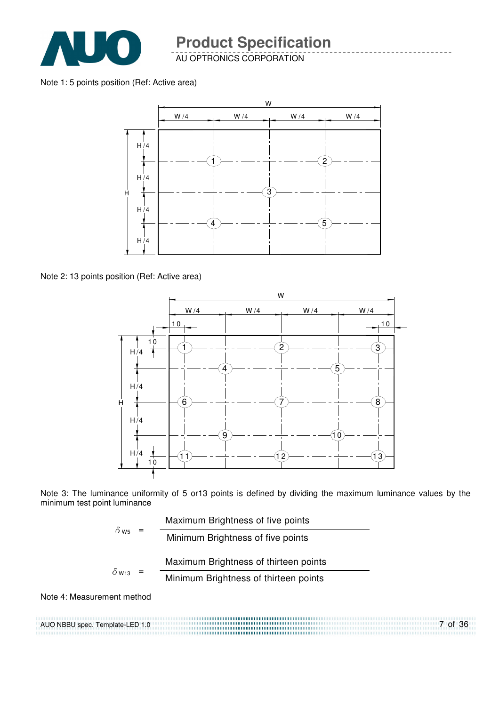

AU OPTRONICS CORPORATION

#### Note 1: 5 points position (Ref: Active area)



Note 2: 13 points position (Ref: Active area)



Note 3: The luminance uniformity of 5 or13 points is defined by dividing the maximum luminance values by the minimum test point luminance

| $\delta$ W <sub>5</sub> |  | Maximum Brightness of five points     |
|-------------------------|--|---------------------------------------|
|                         |  | Minimum Brightness of five points     |
|                         |  | Maximum Brightness of thirteen points |
| $\delta$ w13            |  | Minimum Brightness of thirteen points |
|                         |  |                                       |

Note 4: Measurement method

AUO NBBU spec. Template-LED 1.0 7 of 36 .......................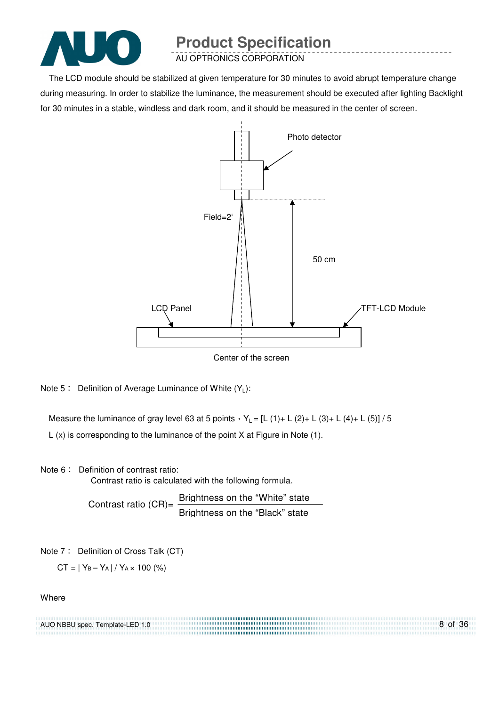

AU OPTRONICS CORPORATION

The LCD module should be stabilized at given temperature for 30 minutes to avoid abrupt temperature change during measuring. In order to stabilize the luminance, the measurement should be executed after lighting Backlight for 30 minutes in a stable, windless and dark room, and it should be measured in the center of screen.



Note 5: Definition of Average Luminance of White  $(Y_L)$ :

Measure the luminance of gray level 63 at 5 points  $Y_L = [L (1) + L (2) + L (3) + L (4) + L (5)] / 5$ L (x) is corresponding to the luminance of the point X at Figure in Note (1).

Note 6: Definition of contrast ratio:

Contrast ratio is calculated with the following formula.

Contrast ratio (CR)=  $\frac{\text{Brightness on the "White" state}}{\text{Brif} + \text{Brif} + \text{Brif} + \text{Brif} + \text{Brif} + \text{Brif} + \text{Brif} + \text{Brif} + \text{Brif} + \text{Brif} + \text{Brif} + \text{Brif} + \text{Brif} + \text{Brif} + \text{Brif} + \text{Brif} + \text{Brif} + \text{Brif} + \text{Brif} + \text{Brif} + \text{Brif} + \text{Brif} + \text{Brif} + \text{Brif} + \text{Brif} + \text{Brif} + \$ Brightness on the "Black" state

Note 7: Definition of Cross Talk (CT)

 $CT = |Y_B - Y_A| / Y_A \times 100$  (%)

#### **Where**

| AUO NBBU spec. Template-LED 1.0 | 8 of 36 |
|---------------------------------|---------|
|                                 |         |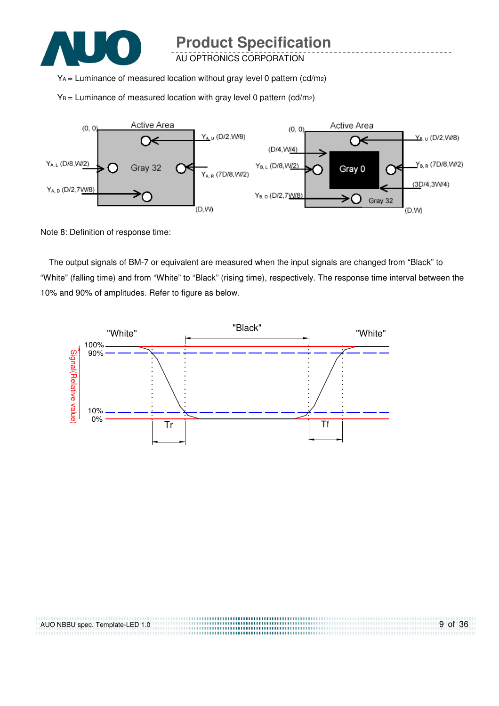

AU OPTRONICS CORPORATION

YA = Luminance of measured location without gray level 0 pattern (cd/m2)

 $Y_B$  = Luminance of measured location with gray level 0 pattern (cd/m<sub>2</sub>)



Note 8: Definition of response time:

The output signals of BM-7 or equivalent are measured when the input signals are changed from "Black" to "White" (falling time) and from "White" to "Black" (rising time), respectively. The response time interval between the 10% and 90% of amplitudes. Refer to figure as below.



| AUO NBBU spec. Template-LED 1.0 | 9 of 36 |
|---------------------------------|---------|
|                                 |         |
|                                 |         |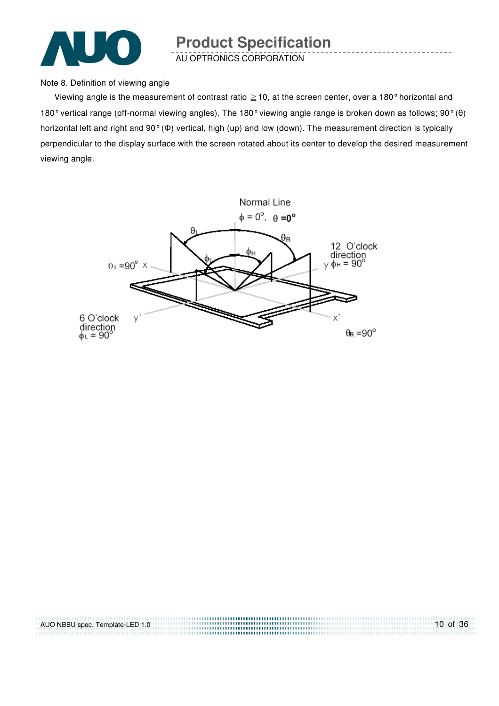

AU OPTRONICS CORPORATION

Note 8. Definition of viewing angle

Viewing angle is the measurement of contrast ratio  $\geq$  10, at the screen center, over a 180° horizontal and 180° vertical range (off-normal viewing angles). The 180° viewing angle range is broken down as follows; 90° (θ) horizontal left and right and 90° (Φ) vertical, high (up) and low (down). The measurement direction is typically perpendicular to the display surface with the screen rotated about its center to develop the desired measurement viewing angle.



| AUO NBBU spec. Template-LED 1.0 | $10$ of 36 |
|---------------------------------|------------|
|                                 |            |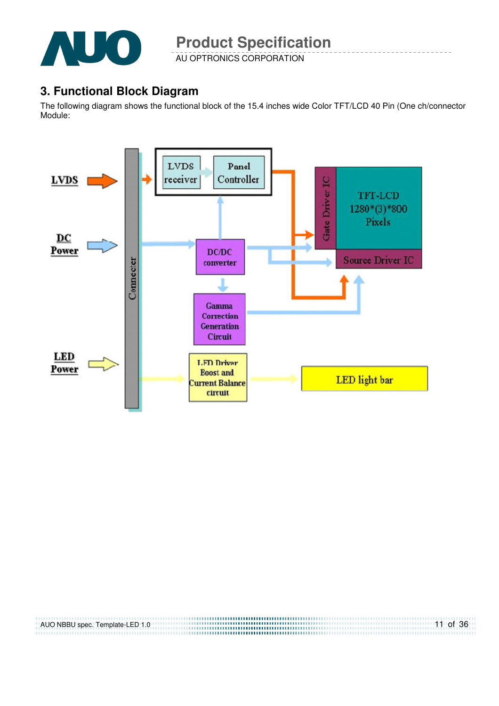

AU OPTRONICS CORPORATION

### **3. Functional Block Diagram**

The following diagram shows the functional block of the 15.4 inches wide Color TFT/LCD 40 Pin (One ch/connector Module:



| AUO NBBU spec. Template-LED 1.0 | $11$ of 36 |
|---------------------------------|------------|
|                                 |            |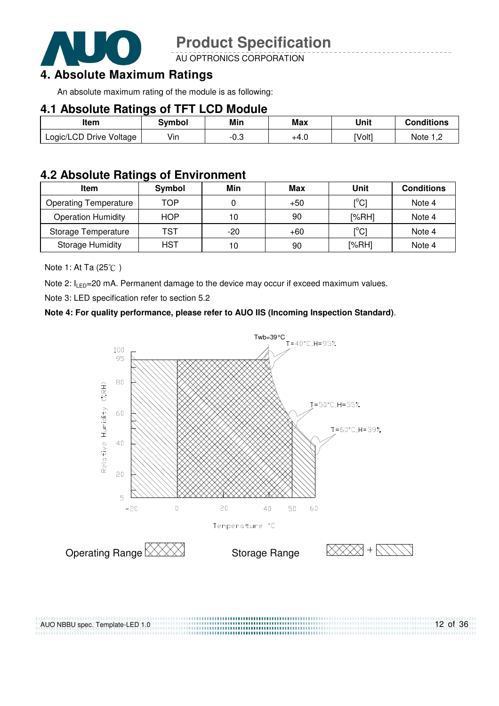

AU OPTRONICS CORPORATION

### **4. Absolute Maximum Ratings**

An absolute maximum rating of the module is as following:

#### **4.1 Absolute Ratings of TFT LCD Module**

| ltem                    | Svmbol | Min    | Max  | Unit   | Conditions |
|-------------------------|--------|--------|------|--------|------------|
| Logic/LCD Drive Voltage | Vin    | $-0.3$ | +4.U | [Volt] | Note :     |

### **4.2 Absolute Ratings of Environment**

| Item                         | Symbol     | Min   | Max   | Unit                                    | <b>Conditions</b> |
|------------------------------|------------|-------|-------|-----------------------------------------|-------------------|
| <b>Operating Temperature</b> | TOP        |       | $+50$ | $\mathsf{I}^\circ\mathsf{C} \mathsf{I}$ | Note 4            |
| <b>Operation Humidity</b>    | <b>HOP</b> | 10    | 90    | [%RH]                                   | Note 4            |
| Storage Temperature          | TST        | $-20$ | $+60$ | $\mathsf{I}^\circ\mathsf{C} \mathsf{I}$ | Note 4            |
| <b>Storage Humidity</b>      | HST        | 10    | 90    | [%RH]                                   | Note 4            |

Note 1: At Ta (25°C)

Note 2:  $I_{LED}$ =20 mA. Permanent damage to the device may occur if exceed maximum values.

Note 3: LED specification refer to section 5.2

#### **Note 4: For quality performance, please refer to AUO IIS (Incoming Inspection Standard)**.



12 of 36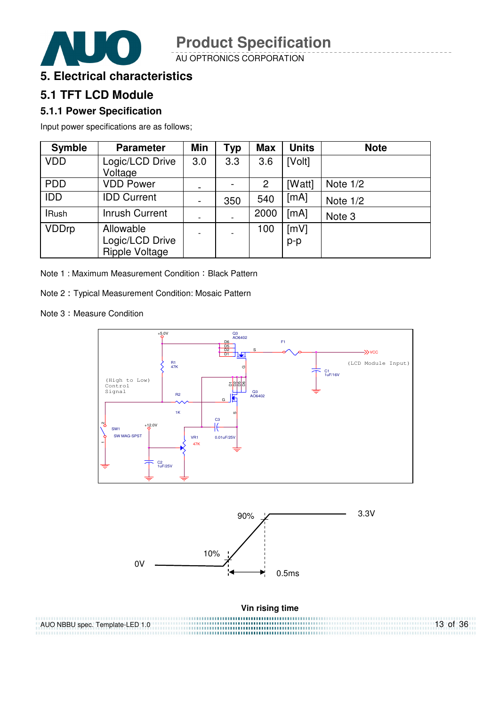

AU OPTRONICS CORPORATION



### **5.1 TFT LCD Module**

#### **5.1.1 Power Specification**

Input power specifications are as follows;

| <b>Symble</b> | <b>Parameter</b>                               | Min                      | <b>Typ</b> | <b>Max</b> | <b>Units</b>  | <b>Note</b> |
|---------------|------------------------------------------------|--------------------------|------------|------------|---------------|-------------|
| <b>VDD</b>    | Logic/LCD Drive<br>Voltage                     | 3.0                      | 3.3        | 3.6        | [Volt]        |             |
| <b>PDD</b>    | <b>VDD Power</b>                               |                          |            | 2          | [Watt]        | Note $1/2$  |
| <b>IDD</b>    | <b>IDD Current</b>                             | $\blacksquare$           | 350        | 540        | [mA]          | Note $1/2$  |
| <b>IRush</b>  | <b>Inrush Current</b>                          | $\overline{\phantom{a}}$ |            | 2000       | [mA]          | Note 3      |
| <b>VDDrp</b>  | Allowable<br>Logic/LCD Drive<br>Ripple Voltage | $\overline{\phantom{a}}$ |            | 100        | [mV]<br>$p-p$ |             |

Note 1 : Maximum Measurement Condition : Black Pattern

Note 2 Typical Measurement Condition: Mosaic Pattern

Note 3: Measure Condition

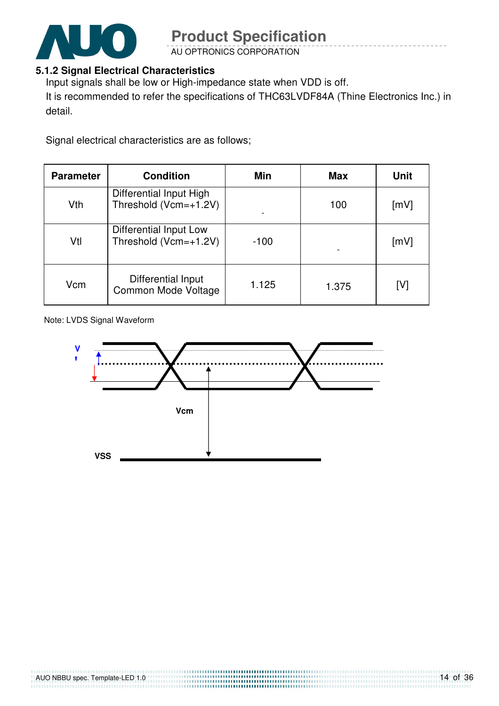

AU OPTRONICS CORPORATION

#### **5.1.2 Signal Electrical Characteristics**

Input signals shall be low or High-impedance state when VDD is off.

It is recommended to refer the specifications of THC63LVDF84A (Thine Electronics Inc.) in detail.

Signal electrical characteristics are as follows;

| <b>Parameter</b> | <b>Condition</b>                                 | Min    | <b>Max</b> | <b>Unit</b> |
|------------------|--------------------------------------------------|--------|------------|-------------|
| Vth              | Differential Input High<br>Threshold (Vcm=+1.2V) |        | 100        | [mV]        |
| Vtl              | Differential Input Low<br>Threshold (Vcm=+1.2V)  | $-100$ |            | [mV]        |
| Vcm              | Differential Input<br>Common Mode Voltage        | 1.125  | 1.375      | [V]         |

Note: LVDS Signal Waveform

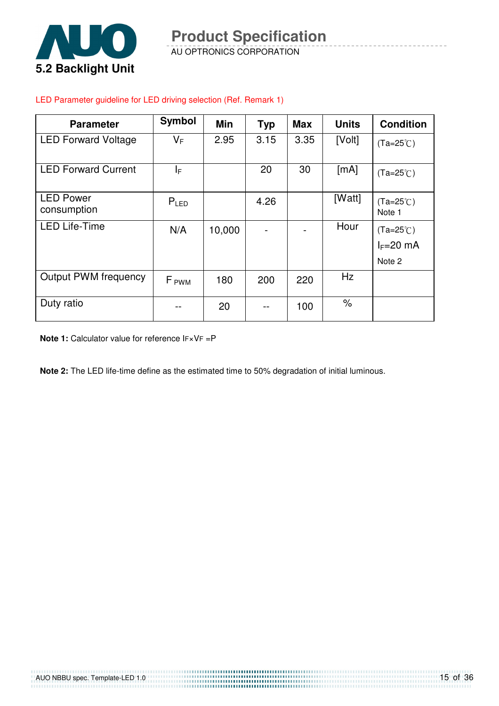

AU OPTRONICS CORPORATION **Product Specification** 

## **Parameter** | Symbol | Min | Typ | Max | Units | Condition LED Forward Voltage  $|V_F|$  2.95 | 3.15 | 3.35 | [Volt]  $|_{(Ta=25\degree C)}$

#### LED Parameter guideline for LED driving selection (Ref. Remark 1)

| <b>LED Forward Current</b>      | ΙF               |        | 20   | 30  | [mA]   | $(Ta=25^{\circ}C)$                          |
|---------------------------------|------------------|--------|------|-----|--------|---------------------------------------------|
| <b>LED Power</b><br>consumption | $P_{LED}$        |        | 4.26 |     | [Watt] | $(Ta=25^{\circ}C)$<br>Note 1                |
| <b>LED Life-Time</b>            | N/A              | 10,000 |      |     | Hour   | $(Ta=25^{\circ}C)$<br>$I_F=20$ mA<br>Note 2 |
| <b>Output PWM frequency</b>     | F <sub>PWM</sub> | 180    | 200  | 220 | Hz     |                                             |
| Duty ratio                      |                  | 20     |      | 100 | $\%$   |                                             |

**Note 1:** Calculator value for reference IF×VF =P

**Note 2:** The LED life-time define as the estimated time to 50% degradation of initial luminous.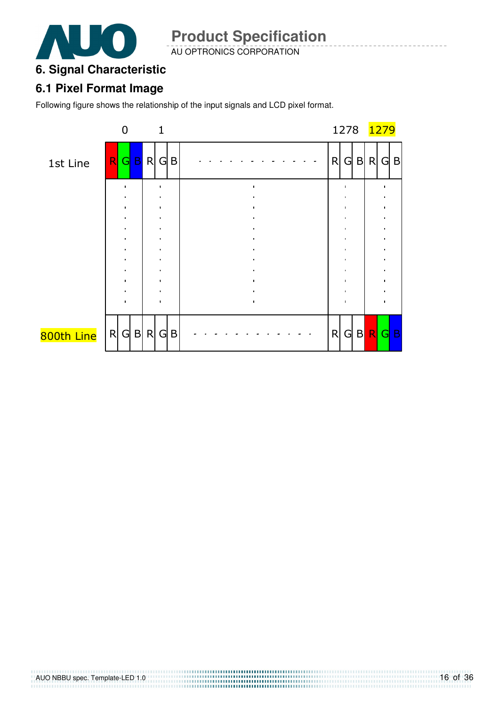

AU OPTRONICS CORPORATION

### **6. Signal Characteristic**

#### **6.1 Pixel Format Image**

Following figure shows the relationship of the input signals and LCD pixel format.

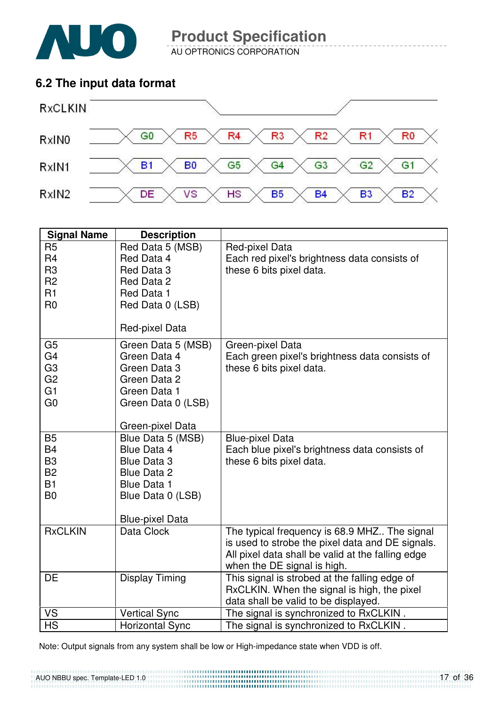

AU OPTRONICS CORPORATION

### **6.2 The input data format**



| <b>Signal Name</b>               | <b>Description</b>                      |                                                                            |
|----------------------------------|-----------------------------------------|----------------------------------------------------------------------------|
| R <sub>5</sub><br>R <sub>4</sub> | Red Data 5 (MSB)<br>Red Data 4          | Red-pixel Data<br>Each red pixel's brightness data consists of             |
| R <sub>3</sub><br>R <sub>2</sub> | Red Data 3<br>Red Data 2                | these 6 bits pixel data.                                                   |
| R1                               | Red Data 1                              |                                                                            |
| R <sub>0</sub>                   | Red Data 0 (LSB)                        |                                                                            |
|                                  | Red-pixel Data                          |                                                                            |
| G <sub>5</sub>                   | Green Data 5 (MSB)                      | Green-pixel Data                                                           |
| G <sub>4</sub><br>G <sub>3</sub> | Green Data 4<br>Green Data 3            | Each green pixel's brightness data consists of<br>these 6 bits pixel data. |
| G <sub>2</sub>                   | Green Data 2                            |                                                                            |
| G <sub>1</sub>                   | Green Data 1                            |                                                                            |
| G <sub>0</sub>                   | Green Data 0 (LSB)                      |                                                                            |
|                                  |                                         |                                                                            |
|                                  | Green-pixel Data                        |                                                                            |
| <b>B5</b><br><b>B4</b>           | Blue Data 5 (MSB)<br><b>Blue Data 4</b> | <b>Blue-pixel Data</b>                                                     |
| B <sub>3</sub>                   | <b>Blue Data 3</b>                      | Each blue pixel's brightness data consists of<br>these 6 bits pixel data.  |
| <b>B2</b>                        | <b>Blue Data 2</b>                      |                                                                            |
| <b>B1</b>                        | <b>Blue Data 1</b>                      |                                                                            |
| B <sub>0</sub>                   | Blue Data 0 (LSB)                       |                                                                            |
|                                  | <b>Blue-pixel Data</b>                  |                                                                            |
| <b>RxCLKIN</b>                   | Data Clock                              | The typical frequency is 68.9 MHZ The signal                               |
|                                  |                                         | is used to strobe the pixel data and DE signals.                           |
|                                  |                                         | All pixel data shall be valid at the falling edge                          |
|                                  |                                         | when the DE signal is high.                                                |
| DE                               | <b>Display Timing</b>                   | This signal is strobed at the falling edge of                              |
|                                  |                                         | RxCLKIN. When the signal is high, the pixel                                |
|                                  |                                         | data shall be valid to be displayed.                                       |
| <b>VS</b>                        | <b>Vertical Sync</b>                    | The signal is synchronized to RxCLKIN.                                     |
| <b>HS</b>                        | <b>Horizontal Sync</b>                  | The signal is synchronized to RxCLKIN.                                     |

Note: Output signals from any system shall be low or High-impedance state when VDD is off.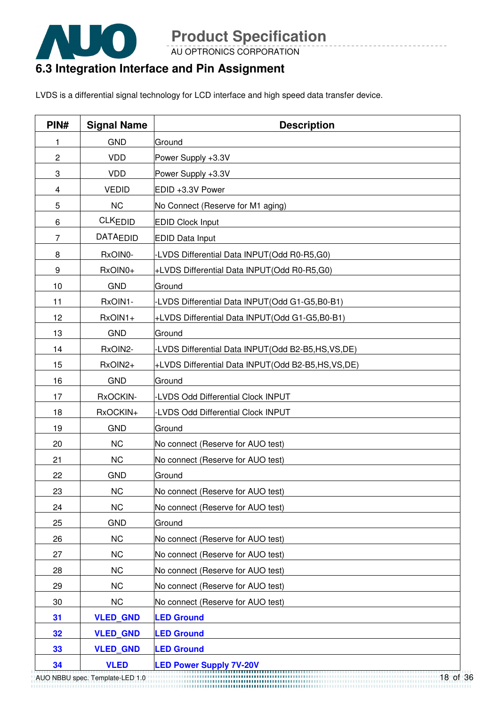

AU OPTRONICS CORPORATION

### **6.3 Integration Interface and Pin Assignment**

LVDS is a differential signal technology for LCD interface and high speed data transfer device.

| PIN#           | <b>Signal Name</b>              | <b>Description</b>                                |
|----------------|---------------------------------|---------------------------------------------------|
| 1              | <b>GND</b>                      | Ground                                            |
| $\overline{c}$ | <b>VDD</b>                      | Power Supply +3.3V                                |
| 3              | <b>VDD</b>                      | Power Supply +3.3V                                |
| 4              | <b>VEDID</b>                    | EDID +3.3V Power                                  |
| 5              | <b>NC</b>                       | No Connect (Reserve for M1 aging)                 |
| 6              | <b>CLKEDID</b>                  | <b>EDID Clock Input</b>                           |
| $\overline{7}$ | <b>DATAEDID</b>                 | <b>EDID Data Input</b>                            |
| 8              | RxOIN0-                         | -LVDS Differential Data INPUT(Odd R0-R5,G0)       |
| 9              | RxOIN0+                         | +LVDS Differential Data INPUT(Odd R0-R5,G0)       |
| 10             | <b>GND</b>                      | Ground                                            |
| 11             | RxOIN1-                         | -LVDS Differential Data INPUT(Odd G1-G5,B0-B1)    |
| 12             | RxOIN1+                         | +LVDS Differential Data INPUT(Odd G1-G5,B0-B1)    |
| 13             | <b>GND</b>                      | Ground                                            |
| 14             | RxOIN2-                         | LVDS Differential Data INPUT(Odd B2-B5,HS,VS,DE)  |
| 15             | RxOIN2+                         | +LVDS Differential Data INPUT(Odd B2-B5,HS,VS,DE) |
| 16             | <b>GND</b>                      | Ground                                            |
| 17             | RxOCKIN-                        | -LVDS Odd Differential Clock INPUT                |
| 18             | RxOCKIN+                        | <b>LVDS Odd Differential Clock INPUT</b>          |
| 19             | <b>GND</b>                      | Ground                                            |
| 20             | <b>NC</b>                       | No connect (Reserve for AUO test)                 |
| 21             | <b>NC</b>                       | No connect (Reserve for AUO test)                 |
| 22             | <b>GND</b>                      | Ground                                            |
| 23             | <b>NC</b>                       | No connect (Reserve for AUO test)                 |
| 24             | <b>NC</b>                       | No connect (Reserve for AUO test)                 |
| 25             | <b>GND</b>                      | Ground                                            |
| 26             | <b>NC</b>                       | No connect (Reserve for AUO test)                 |
| 27             | <b>NC</b>                       | No connect (Reserve for AUO test)                 |
| 28             | <b>NC</b>                       | No connect (Reserve for AUO test)                 |
| 29             | <b>NC</b>                       | No connect (Reserve for AUO test)                 |
| 30             | <b>NC</b>                       | No connect (Reserve for AUO test)                 |
| 31             | <b>VLED_GND</b>                 | <b>LED Ground</b>                                 |
| 32             | <b>VLED GND</b>                 | <b>LED Ground</b>                                 |
| 33             | <b>VLED GND</b>                 | <b>LED Ground</b>                                 |
| 34             | <b>VLED</b>                     | <b>LED Power Supply 7V-20V</b>                    |
|                | AUO NBBU spec. Template-LED 1.0 | 18 of                                             |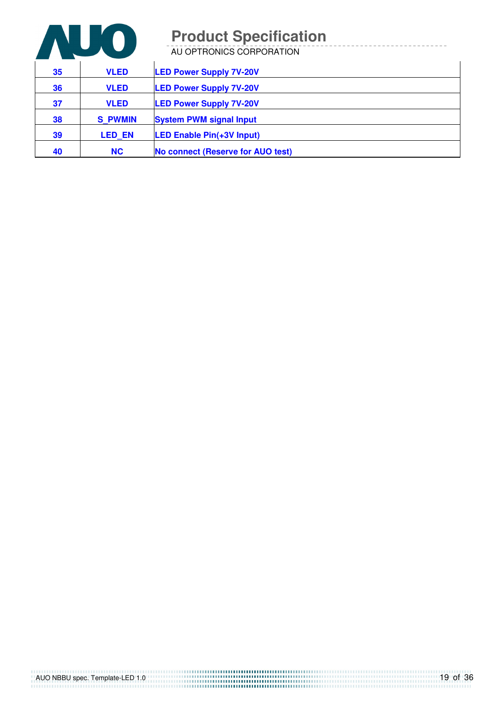

AU OPTRONICS CORPORATION

| 35 | <b>VLED</b>    | <b>LED Power Supply 7V-20V</b>    |
|----|----------------|-----------------------------------|
| 36 | <b>VLED</b>    | <b>LED Power Supply 7V-20V</b>    |
| 37 | <b>VLED</b>    | <b>LED Power Supply 7V-20V</b>    |
| 38 | <b>S PWMIN</b> | <b>System PWM signal Input</b>    |
| 39 | <b>LED EN</b>  | <b>LED Enable Pin(+3V Input)</b>  |
| 40 | <b>NC</b>      | No connect (Reserve for AUO test) |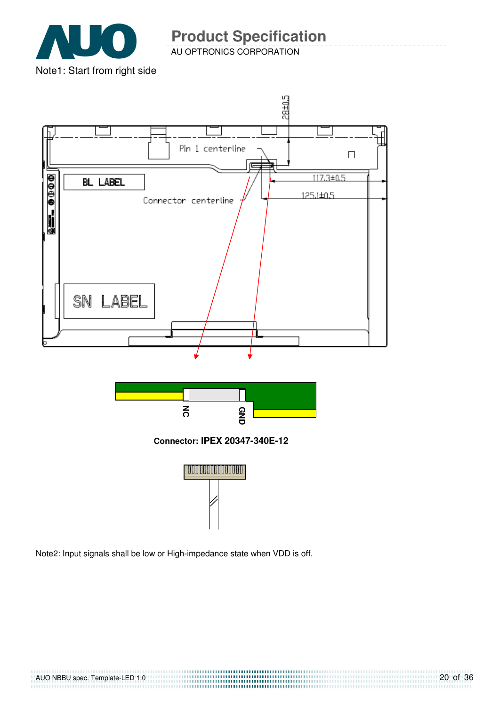

AU OPTRONICS CORPORATION



Note2: Input signals shall be low or High-impedance state when VDD is off.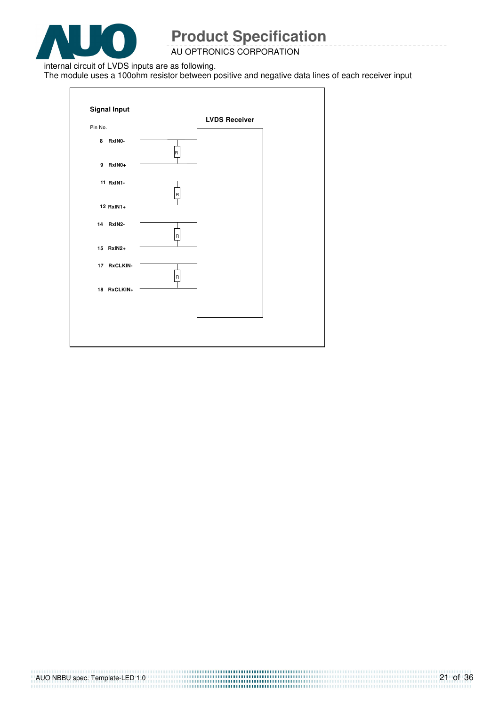

AU OPTRONICS CORPORATION

internal circuit of LVDS inputs are as following.

The module uses a 100ohm resistor between positive and negative data lines of each receiver input

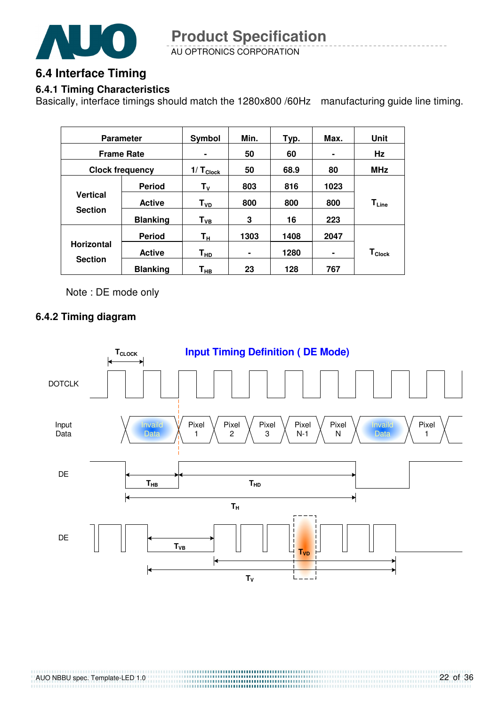

AU OPTRONICS CORPORATION **Product Specification** 

### **6.4 Interface Timing**

#### **6.4.1 Timing Characteristics**

Basically, interface timings should match the 1280x800 /60Hz manufacturing guide line timing.

| <b>Parameter</b>       |                 | Symbol             | Min. | Typ. | Max. | Unit                          |
|------------------------|-----------------|--------------------|------|------|------|-------------------------------|
| <b>Frame Rate</b>      |                 | ٠                  | 50   | 60   | ۰    | Hz                            |
| <b>Clock frequency</b> |                 | $1/ T_{Clock}$     | 50   | 68.9 | 80   | <b>MHz</b>                    |
|                        | <b>Period</b>   | $T_{V}$            | 803  | 816  | 1023 |                               |
| <b>Vertical</b>        | <b>Active</b>   | T <sub>VD</sub>    | 800  | 800  | 800  | $\mathsf{T}_{\mathsf{Line}}$  |
| <b>Section</b>         | <b>Blanking</b> | ${\sf T}_{\sf VB}$ | 3    | 16   | 223  |                               |
|                        | <b>Period</b>   | Τн                 | 1303 | 1408 | 2047 |                               |
| <b>Horizontal</b>      | <b>Active</b>   | T <sub>HD</sub>    |      | 1280 | ۰    | $\mathsf{T}_{\mathsf{Clock}}$ |
| <b>Section</b>         | <b>Blanking</b> | Т <sub>нв</sub>    | 23   | 128  | 767  |                               |

Note : DE mode only

#### **6.4.2 Timing diagram**

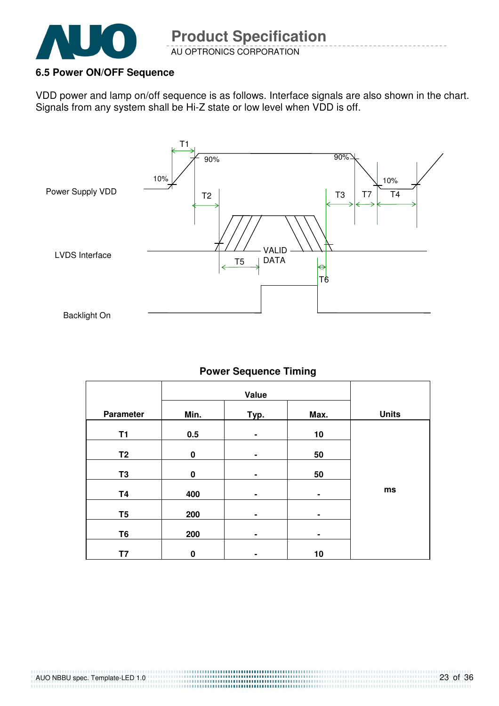

#### **6.5 Power ON/OFF Sequence**

VDD power and lamp on/off sequence is as follows. Interface signals are also shown in the chart. Signals from any system shall be Hi-Z state or low level when VDD is off.



#### **Power Sequence Timing**

|                |          | Value |                |              |
|----------------|----------|-------|----------------|--------------|
| Parameter      | Min.     | Typ.  | Max.           | <b>Units</b> |
| <b>T1</b>      | 0.5      | ٠     | 10             |              |
| T <sub>2</sub> | $\bf{0}$ | ۰     | 50             |              |
| T <sub>3</sub> | $\bf{0}$ | ۰     | 50             |              |
| <b>T4</b>      | 400      | ۰     | ٠              | ms           |
| T <sub>5</sub> | 200      | ۰     | $\blacksquare$ |              |
| T <sub>6</sub> | 200      | ۰     | $\blacksquare$ |              |
|                |          |       |                |              |
| T7             | $\bf{0}$ |       | 10             |              |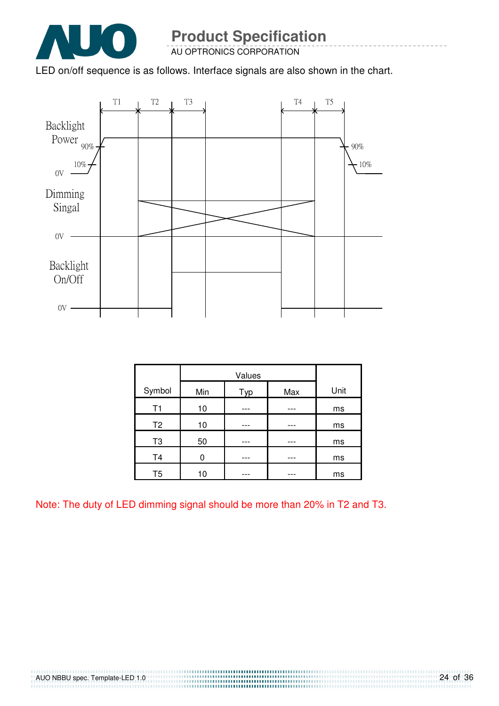

AU OPTRONICS CORPORATION

LED on/off sequence is as follows. Interface signals are also shown in the chart.



|                | Values |     |     |      |
|----------------|--------|-----|-----|------|
| Symbol         | Min    | Typ | Max | Unit |
| T1             | 10     |     |     | ms   |
| T <sub>2</sub> | 10     |     |     | ms   |
| T <sub>3</sub> | 50     |     |     | ms   |
| T <sub>4</sub> | ი      |     |     | ms   |
| T <sub>5</sub> | 10     |     |     | ms   |

Note: The duty of LED dimming signal should be more than 20% in T2 and T3.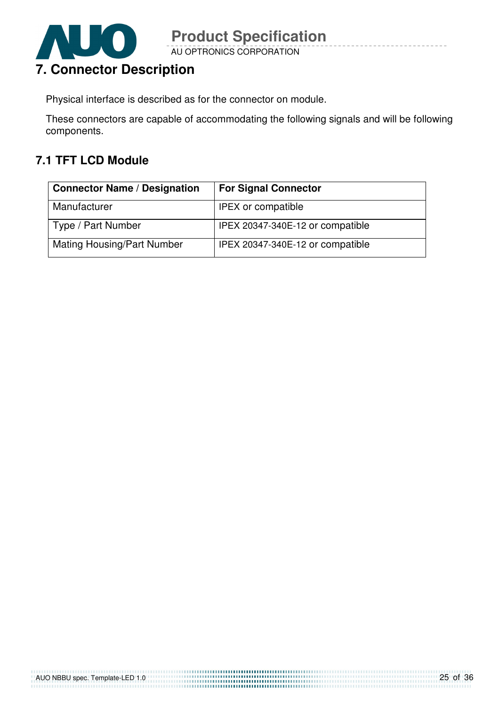

AU OPTRONICS CORPORATION **Product Specification** 

Physical interface is described as for the connector on module.

These connectors are capable of accommodating the following signals and will be following components.

### **7.1 TFT LCD Module**

| <b>Connector Name / Designation</b> | <b>For Signal Connector</b>      |
|-------------------------------------|----------------------------------|
| Manufacturer                        | <b>IPEX or compatible</b>        |
| Type / Part Number                  | IPEX 20347-340E-12 or compatible |
| <b>Mating Housing/Part Number</b>   | IPEX 20347-340E-12 or compatible |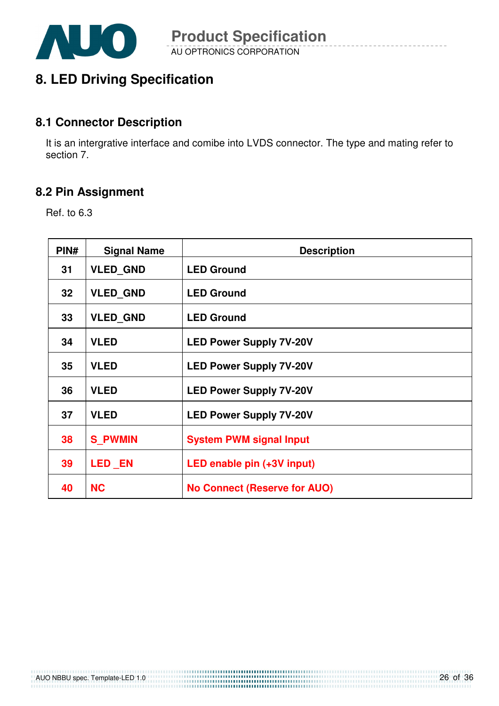

### **8. LED Driving Specification**

#### **8.1 Connector Description**

It is an intergrative interface and comibe into LVDS connector. The type and mating refer to section 7.

#### **8.2 Pin Assignment**

Ref. to 6.3

| PIN#            | <b>Signal Name</b> | <b>Description</b>                  |
|-----------------|--------------------|-------------------------------------|
| 31              | <b>VLED GND</b>    | <b>LED Ground</b>                   |
| 32 <sub>2</sub> | <b>VLED GND</b>    | <b>LED Ground</b>                   |
| 33              | <b>VLED GND</b>    | <b>LED Ground</b>                   |
| 34              | <b>VLED</b>        | <b>LED Power Supply 7V-20V</b>      |
| 35              | <b>VLED</b>        | <b>LED Power Supply 7V-20V</b>      |
| 36              | <b>VLED</b>        | <b>LED Power Supply 7V-20V</b>      |
| 37              | <b>VLED</b>        | <b>LED Power Supply 7V-20V</b>      |
| 38              | <b>S PWMIN</b>     | <b>System PWM signal Input</b>      |
| 39              | <b>LED EN</b>      | LED enable pin (+3V input)          |
| 40              | <b>NC</b>          | <b>No Connect (Reserve for AUO)</b> |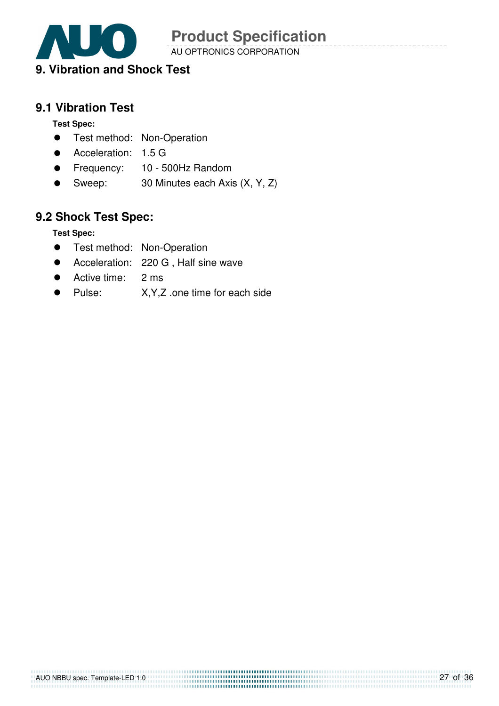

AU OPTRONICS CORPORATION

### **9. Vibration and Shock Test**

### **9.1 Vibration Test**

**Test Spec:** 

- **•** Test method: Non-Operation
- Acceleration: 1.5 G
- **•** Frequency: 10 500Hz Random
- Sweep: 30 Minutes each Axis (X, Y, Z)

### **9.2 Shock Test Spec:**

**Test Spec:** 

- **•** Test method: Non-Operation
- Acceleration: 220 G , Half sine wave
- Active time: 2 ms
- Pulse: X, Y, Z .one time for each side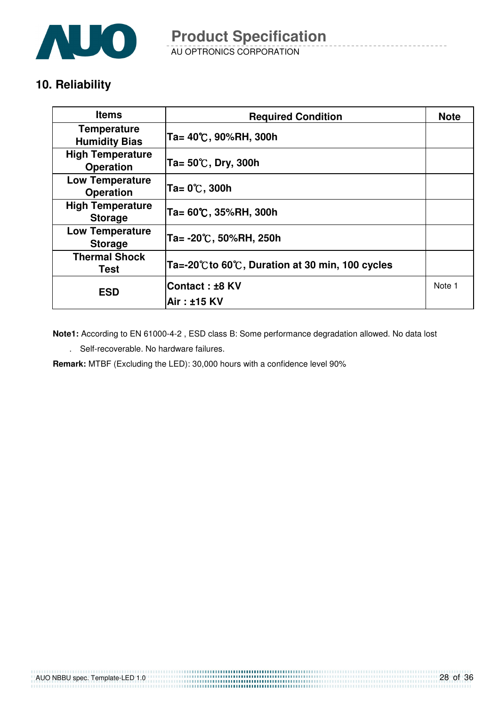![](_page_27_Picture_0.jpeg)

AU OPTRONICS CORPORATION **Product Specification** 

### **10. Reliability**

| <b>Items</b>                                | <b>Required Condition</b>                       | <b>Note</b> |
|---------------------------------------------|-------------------------------------------------|-------------|
| <b>Temperature</b><br><b>Humidity Bias</b>  | Ta= 40℃, 90%RH, 300h                            |             |
| <b>High Temperature</b><br><b>Operation</b> | Ta= $50^{\circ}$ C, Dry, 300h                   |             |
| <b>Low Temperature</b><br><b>Operation</b>  | Ta= 0℃, 300h                                    |             |
| <b>High Temperature</b><br><b>Storage</b>   | Ta= 60℃, 35%RH, 300h                            |             |
| <b>Low Temperature</b><br><b>Storage</b>    | Ta= -20℃, 50%RH, 250h                           |             |
| <b>Thermal Shock</b><br>Test                | Ta=-20°C to 60℃, Duration at 30 min, 100 cycles |             |
| <b>ESD</b>                                  | <b>Contact : ±8 KV</b>                          | Note 1      |
|                                             | Air: ±15 KV                                     |             |

**Note1:** According to EN 61000-4-2 , ESD class B: Some performance degradation allowed. No data lost

. Self-recoverable. No hardware failures.

**Remark:** MTBF (Excluding the LED): 30,000 hours with a confidence level 90%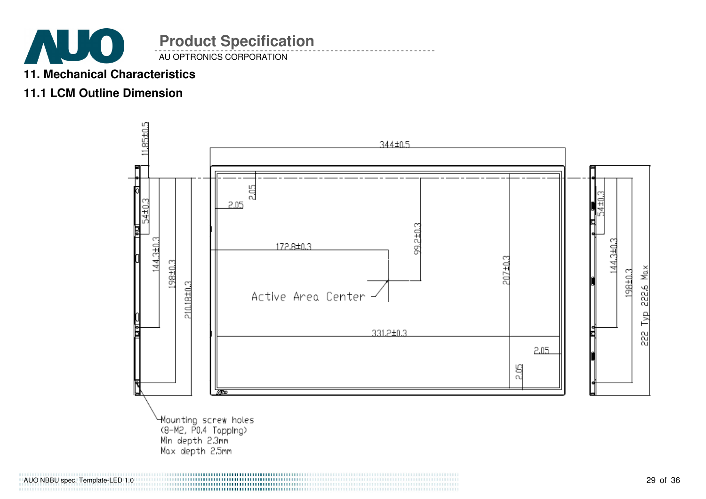![](_page_28_Picture_0.jpeg)

### **11. Mechanical Characteristics**

### **11.1 LCM Outline Dimension**

![](_page_28_Figure_3.jpeg)

AUO NBBU spec. Template-LED 1.0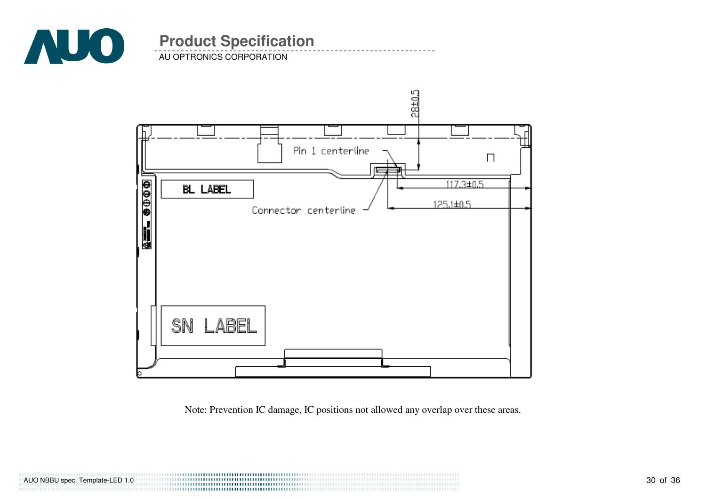![](_page_29_Picture_0.jpeg)

AU OPTRONICS CORPORATION

![](_page_29_Figure_3.jpeg)

Note: Prevention IC damage, IC positions not allowed any overlap over these areas.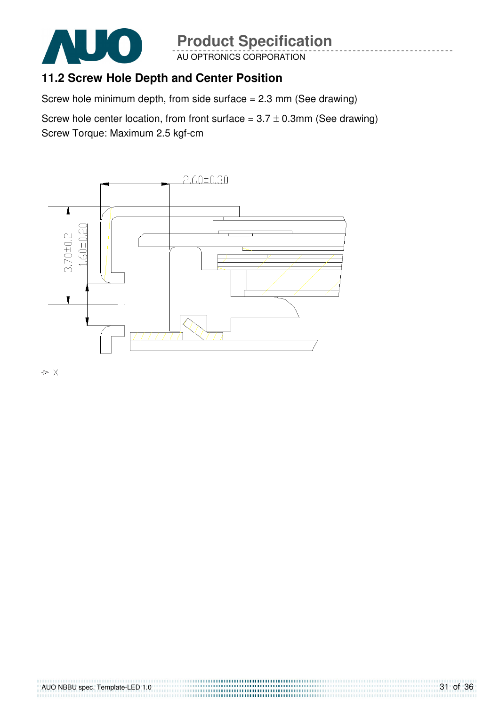![](_page_30_Picture_0.jpeg)

AU OPTRONICS CORPORATION

### **11.2 Screw Hole Depth and Center Position**

Screw hole minimum depth, from side surface  $= 2.3$  mm (See drawing)

Screw hole center location, from front surface =  $3.7 \pm 0.3$ mm (See drawing) Screw Torque: Maximum 2.5 kgf-cm

![](_page_30_Figure_6.jpeg)

![](_page_30_Figure_7.jpeg)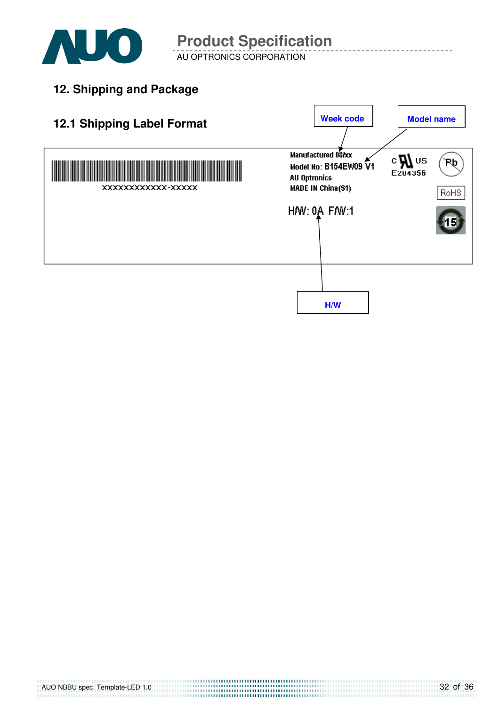![](_page_31_Picture_0.jpeg)

AU OPTRONICS CORPORATION

**12. Shipping and Package**

![](_page_31_Figure_4.jpeg)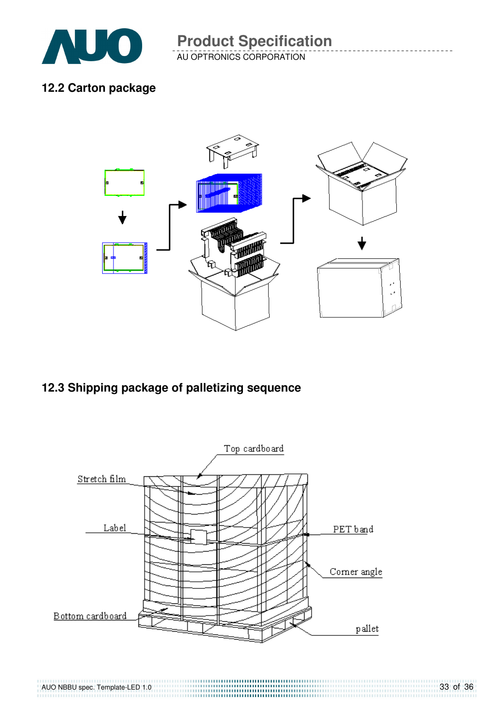![](_page_32_Picture_0.jpeg)

AU OPTRONICS CORPORATION **Product Specification** 

### **12.2 Carton package**

![](_page_32_Figure_3.jpeg)

### **12.3 Shipping package of palletizing sequence**

![](_page_32_Figure_5.jpeg)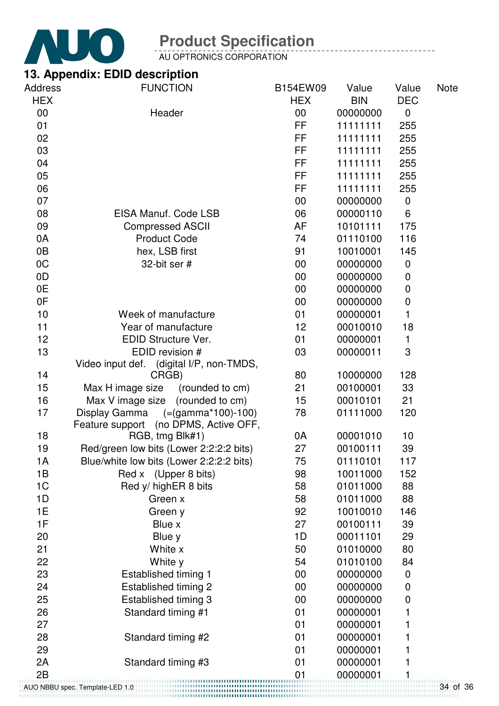![](_page_33_Picture_0.jpeg)

AU OPTRONICS CORPORATION

### **13. Appendix: EDID description**

| <b>Address</b> | <b>FUNCTION</b>                                                           | B154EW09        | Value      | Value       | <b>Note</b> |
|----------------|---------------------------------------------------------------------------|-----------------|------------|-------------|-------------|
| <b>HEX</b>     |                                                                           | <b>HEX</b>      | <b>BIN</b> | <b>DEC</b>  |             |
| 00             | Header                                                                    | 00              | 00000000   | $\mathbf 0$ |             |
| 01             |                                                                           | FF              | 11111111   | 255         |             |
| 02             |                                                                           | FF.             | 11111111   | 255         |             |
| 03             |                                                                           | <b>FF</b>       | 11111111   | 255         |             |
| 04             |                                                                           | FF<br><b>FF</b> | 11111111   | 255         |             |
| 05             |                                                                           |                 | 11111111   | 255         |             |
| 06             |                                                                           | FF              | 11111111   | 255         |             |
| 07             |                                                                           | 00              | 00000000   | $\pmb{0}$   |             |
| 08             | EISA Manuf. Code LSB                                                      | 06              | 00000110   | 6           |             |
| 09             | <b>Compressed ASCII</b>                                                   | AF              | 10101111   | 175         |             |
| 0A             | <b>Product Code</b>                                                       | 74              | 01110100   | 116         |             |
| 0B             | hex, LSB first                                                            | 91              | 10010001   | 145         |             |
| 0C             | 32-bit ser #                                                              | 00              | 00000000   | $\pmb{0}$   |             |
| 0D             |                                                                           | 00              | 00000000   | $\mathbf 0$ |             |
| 0E             |                                                                           | 00              | 00000000   | $\pmb{0}$   |             |
| 0F             |                                                                           | 00              | 00000000   | $\pmb{0}$   |             |
| 10             | Week of manufacture                                                       | 01              | 00000001   | 1           |             |
| 11             | Year of manufacture                                                       | 12              | 00010010   | 18          |             |
| 12             | <b>EDID Structure Ver.</b>                                                | 01              | 00000001   | 1           |             |
| 13             | EDID revision #                                                           | 03              | 00000011   | 3           |             |
|                | Video input def. (digital I/P, non-TMDS,                                  |                 |            |             |             |
| 14             | CRGB)                                                                     | 80              | 10000000   | 128         |             |
| 15             | (rounded to cm)<br>Max H image size                                       | 21              | 00100001   | 33          |             |
| 16             | Max V image size (rounded to cm)                                          | 15              | 00010101   | 21          |             |
| 17             | Display Gamma (=(gamma*100)-100)<br>Feature support (no DPMS, Active OFF, | 78              | 01111000   | 120         |             |
| 18             | RGB, tmg Blk#1)                                                           | 0A              | 00001010   | 10          |             |
| 19             | Red/green low bits (Lower 2:2:2:2 bits)                                   | 27              | 00100111   | 39          |             |
| 1A             | Blue/white low bits (Lower 2:2:2:2 bits)                                  | 75              | 01110101   | 117         |             |
| 1B             | Red x (Upper 8 bits)                                                      | 98              | 10011000   | 152         |             |
| 1 <sub>C</sub> | Red y/ highER 8 bits                                                      | 58              | 01011000   | 88          |             |
| 1D             | Green x                                                                   | 58              | 01011000   | 88          |             |
| 1E             | Green y                                                                   | 92              | 10010010   | 146         |             |
| 1F             | Blue x                                                                    | 27              | 00100111   | 39          |             |
| 20             | Blue y                                                                    | 1D              | 00011101   | 29          |             |
| 21             | White x                                                                   | 50              | 01010000   | 80          |             |
| 22             | White y                                                                   | 54              | 01010100   | 84          |             |
| 23             | Established timing 1                                                      | 00              | 00000000   | 0           |             |
| 24             | Established timing 2                                                      | 00              | 00000000   | $\pmb{0}$   |             |
| 25             | Established timing 3                                                      | 00              | 00000000   | $\mathbf 0$ |             |
| 26             | Standard timing #1                                                        | 01              | 00000001   | 1           |             |
| 27             |                                                                           | 01              | 00000001   | 1           |             |
| 28             | Standard timing #2                                                        | 01              | 00000001   | 1           |             |
| 29             |                                                                           | 01              | 00000001   |             |             |
| 2A             | Standard timing #3                                                        | 01              | 00000001   | 1           |             |
| 2B             |                                                                           | 01              |            |             |             |
|                |                                                                           |                 | 00000001   |             |             |

34 of 36 AUO NBBU spec. Template-LED 1.0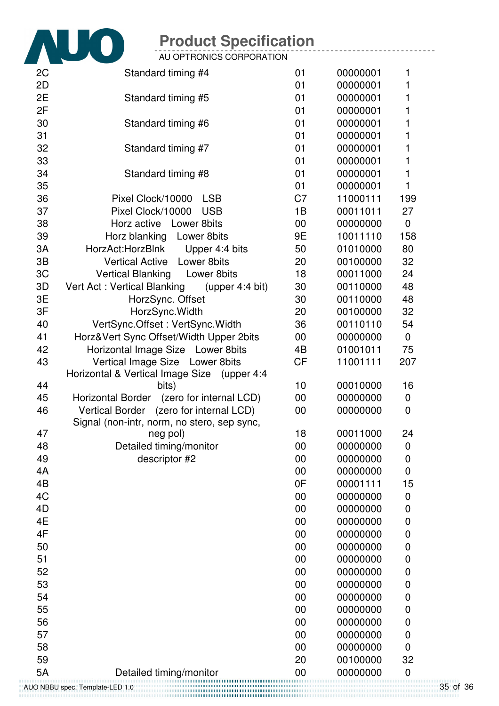![](_page_34_Picture_0.jpeg)

AU OPTRONICS CORPORATION

| 2 <sub>C</sub>                  | Standard timing #4                               | 01             | 00000001 | 1              |  |
|---------------------------------|--------------------------------------------------|----------------|----------|----------------|--|
| 2D                              |                                                  | 01             | 00000001 | 1              |  |
| 2E                              | Standard timing #5                               | 01             | 00000001 | 1              |  |
| 2F                              |                                                  | 01             | 00000001 | 1              |  |
| 30                              | Standard timing #6                               | 01             | 00000001 | 1              |  |
| 31                              |                                                  | 01             | 00000001 | 1              |  |
| 32                              | Standard timing #7                               | 01             | 00000001 | 1              |  |
| 33                              |                                                  | 01             | 00000001 | 1              |  |
| 34                              | Standard timing #8                               | 01             | 00000001 | $\mathbf{1}$   |  |
| 35                              |                                                  | 01             | 00000001 | 1              |  |
| 36                              | <b>LSB</b><br>Pixel Clock/10000                  | C <sub>7</sub> | 11000111 | 199            |  |
| 37                              | Pixel Clock/10000<br><b>USB</b>                  | 1B             | 00011011 | 27             |  |
| 38                              | Horz active Lower 8bits                          | $00\,$         | 00000000 | $\mathbf 0$    |  |
| 39                              | Horz blanking Lower 8bits                        | 9E             | 10011110 | 158            |  |
| 3A                              | HorzAct:HorzBlnk<br>Upper 4:4 bits               | 50             | 01010000 | 80             |  |
| 3B                              | Lower 8bits<br><b>Vertical Active</b>            | 20             | 00100000 | 32             |  |
| 3C                              | Vertical Blanking Lower 8bits                    | 18             | 00011000 | 24             |  |
| 3D                              | Vert Act: Vertical Blanking<br>(upper $4:4$ bit) | 30             | 00110000 | 48             |  |
| 3E                              | HorzSync. Offset                                 | 30             | 00110000 | 48             |  |
| 3F                              | HorzSync. Width                                  | 20             | 00100000 | 32             |  |
| 40                              | VertSync.Offset: VertSync.Width                  | 36             | 00110110 | 54             |  |
| 41                              | Horz‖ Sync Offset/Width Upper 2bits              | $00\,$         | 00000000 | $\pmb{0}$      |  |
| 42                              | Horizontal Image Size Lower 8bits                | 4B             | 01001011 | 75             |  |
| 43                              | Vertical Image Size Lower 8bits                  | <b>CF</b>      | 11001111 | 207            |  |
|                                 | Horizontal & Vertical Image Size (upper 4:4      |                |          |                |  |
| 44                              | bits)                                            | 10             | 00010000 | 16             |  |
| 45                              | Horizontal Border (zero for internal LCD)        | $00\,$         | 00000000 | 0              |  |
| 46                              | Vertical Border (zero for internal LCD)          | 00             | 00000000 | 0              |  |
|                                 | Signal (non-intr, norm, no stero, sep sync,      |                |          |                |  |
| 47                              | neg pol)                                         | 18             | 00011000 | 24             |  |
| 48                              | Detailed timing/monitor                          | 00             | 00000000 | 0              |  |
| 49                              | descriptor #2                                    | 00             | 00000000 | 0              |  |
| 4A                              |                                                  | 00             | 00000000 | $\mathbf 0$    |  |
| 4B                              |                                                  | 0F             | 00001111 | 15             |  |
| 4C                              |                                                  | 00             | 00000000 | $\mathbf 0$    |  |
| 4D                              |                                                  | 00             | 00000000 | 0              |  |
| 4E                              |                                                  | 00             | 00000000 | 0              |  |
| 4F                              |                                                  | 00             | 00000000 | 0              |  |
| 50                              |                                                  | 00             | 00000000 | 0              |  |
| 51                              |                                                  | 00             | 00000000 | 0              |  |
| 52                              |                                                  | 00             | 00000000 | 0              |  |
| 53                              |                                                  | 00             | 00000000 | 0              |  |
| 54                              |                                                  | 00             | 00000000 | 0              |  |
| 55                              |                                                  | 00             | 00000000 | 0              |  |
| 56                              |                                                  | 00             | 00000000 | 0              |  |
| 57                              |                                                  | 00             | 00000000 | $\mathbf 0$    |  |
| 58                              |                                                  | 00             | 00000000 | $\overline{0}$ |  |
| 59                              |                                                  | 20             | 00100000 | 32             |  |
| <b>5A</b>                       | Detailed timing/monitor                          | 00             | 00000000 | 0              |  |
|                                 |                                                  |                |          |                |  |
| AUO NBBU spec. Template-LED 1.0 |                                                  |                |          |                |  |

35 of 36